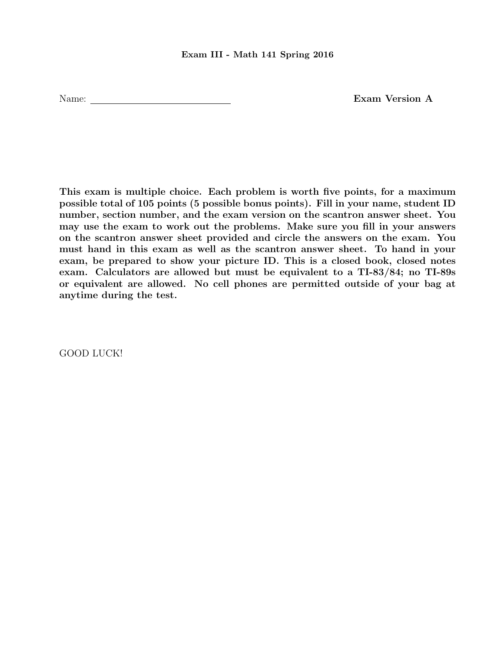## Exam III - Math 141 Spring 2016

Name: Exam Version A

This exam is multiple choice. Each problem is worth five points, for a maximum possible total of 105 points (5 possible bonus points). Fill in your name, student ID number, section number, and the exam version on the scantron answer sheet. You may use the exam to work out the problems. Make sure you fill in your answers on the scantron answer sheet provided and circle the answers on the exam. You must hand in this exam as well as the scantron answer sheet. To hand in your exam, be prepared to show your picture ID. This is a closed book, closed notes exam. Calculators are allowed but must be equivalent to a TI-83/84; no TI-89s or equivalent are allowed. No cell phones are permitted outside of your bag at anytime during the test.

GOOD LUCK!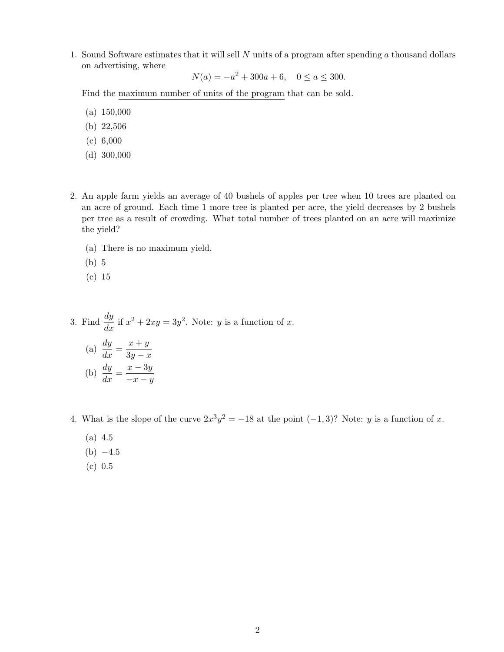1. Sound Software estimates that it will sell  $N$  units of a program after spending  $a$  thousand dollars on advertising, where

$$
N(a) = -a^2 + 300a + 6, \quad 0 \le a \le 300.
$$

Find the maximum number of units of the program that can be sold.

- (a) 150,000
- (b) 22,506
- (c) 6,000
- (d) 300,000
- 2. An apple farm yields an average of 40 bushels of apples per tree when 10 trees are planted on an acre of ground. Each time 1 more tree is planted per acre, the yield decreases by 2 bushels per tree as a result of crowding. What total number of trees planted on an acre will maximize the yield?
	- (a) There is no maximum yield.
	- (b) 5
	- (c) 15

3. Find 
$$
\frac{dy}{dx}
$$
 if  $x^2 + 2xy = 3y^2$ . Note: *y* is a function of *x*.  
\n(a)  $\frac{dy}{dx} = \frac{x+y}{3y-x}$   
\n(b)  $\frac{dy}{dx} = \frac{x-3y}{-x-y}$ 

- 4. What is the slope of the curve  $2x^3y^2 = -18$  at the point  $(-1, 3)$ ? Note: y is a function of x.
	- (a) 4.5
	- $(b) -4.5$
	- (c) 0.5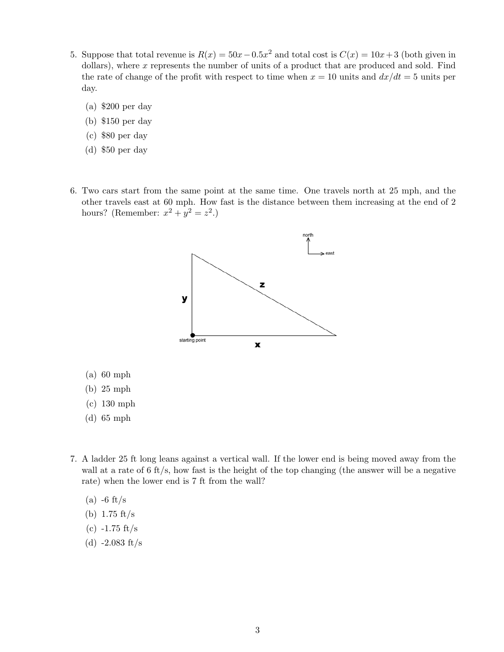- 5. Suppose that total revenue is  $R(x) = 50x 0.5x^2$  and total cost is  $C(x) = 10x + 3$  (both given in dollars), where  $x$  represents the number of units of a product that are produced and sold. Find the rate of change of the profit with respect to time when  $x = 10$  units and  $dx/dt = 5$  units per day.
	- (a) \$200 per day
	- (b) \$150 per day
	- (c) \$80 per day
	- (d) \$50 per day
- 6. Two cars start from the same point at the same time. One travels north at 25 mph, and the other travels east at 60 mph. How fast is the distance between them increasing at the end of 2 hours? (Remember:  $x^2 + y^2 = z^2$ .)



(d) 65 mph

(a) 60 mph (b) 25 mph

- 7. A ladder 25 ft long leans against a vertical wall. If the lower end is being moved away from the wall at a rate of 6 ft/s, how fast is the height of the top changing (the answer will be a negative rate) when the lower end is 7 ft from the wall?
	- $(a)$  -6 ft/s
	- (b) 1.75 ft/s
	- $(c)$  -1.75 ft/s
	- (d)  $-2.083$  ft/s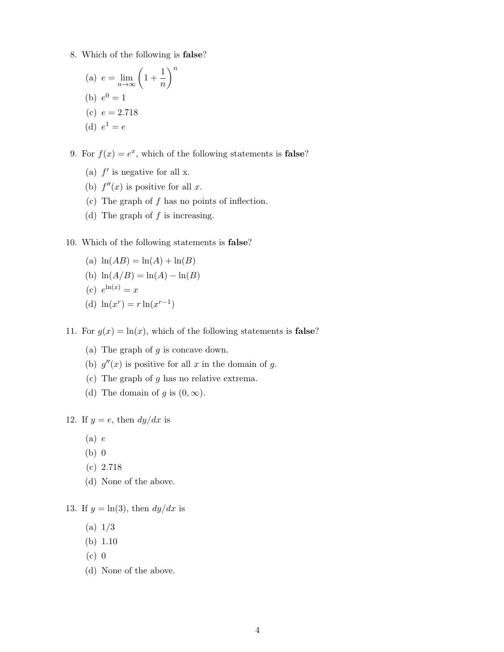- 8. Which of the following is false?
	- (a)  $e = \lim_{n \to \infty} \left( 1 + \frac{1}{n} \right)$ n  $\setminus^n$ (b)  $e^0 = 1$ (c)  $e = 2.718$ (d)  $e^1 = e$

9. For  $f(x) = e^x$ , which of the following statements is **false**?

- (a)  $f'$  is negative for all x.
- (b)  $f''(x)$  is positive for all x.
- (c) The graph of f has no points of inflection.
- (d) The graph of  $f$  is increasing.

## 10. Which of the following statements is false?

- (a)  $\ln(AB) = \ln(A) + \ln(B)$
- (b)  $\ln(A/B) = \ln(A) \ln(B)$
- (c)  $e^{\ln(x)} = x$
- (d)  $\ln(x^r) = r \ln(x^{r-1})$

11. For  $g(x) = \ln(x)$ , which of the following statements is **false**?

- (a) The graph of  $q$  is concave down.
- (b)  $g''(x)$  is positive for all x in the domain of g.
- (c) The graph of  $g$  has no relative extrema.
- (d) The domain of g is  $(0, \infty)$ .

12. If  $y = e$ , then  $dy/dx$  is

- $(a) e$
- (b) 0
- (c) 2.718
- (d) None of the above.

13. If  $y = \ln(3)$ , then  $dy/dx$  is

- (a) 1/3
- (b) 1.10
- (c) 0
- (d) None of the above.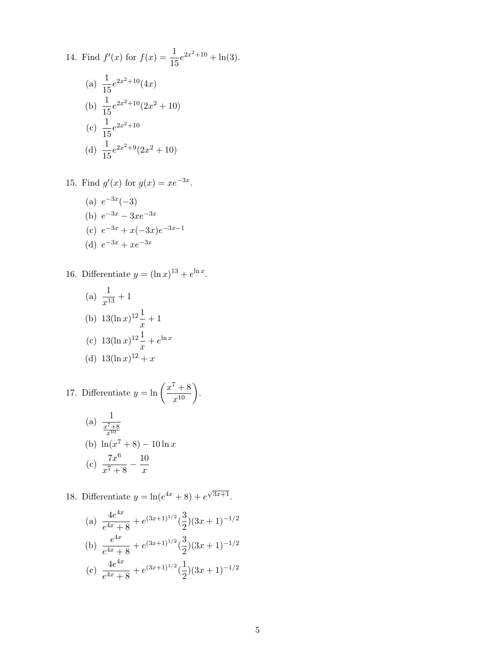14. Find 
$$
f'(x)
$$
 for  $f(x) = \frac{1}{15}e^{2x^2+10} + \ln(3)$ .  
\n(a)  $\frac{1}{15}e^{2x^2+10}(4x)$   
\n(b)  $\frac{1}{15}e^{2x^2+10}(2x^2+10)$   
\n(c)  $\frac{1}{15}e^{2x^2+10}$   
\n(d)  $\frac{1}{15}e^{2x^2+9}(2x^2+10)$ 

15. Find  $g'(x)$  for  $g(x) = xe^{-3x}$ .

(a)  $e^{-3x}(-3)$ (b)  $e^{-3x} - 3xe^{-3x}$ (c)  $e^{-3x} + x(-3x)e^{-3x-1}$ (d)  $e^{-3x} + xe^{-3x}$ 

16. Differentiate  $y = (\ln x)^{13} + e^{\ln x}$ .

(a) 
$$
\frac{1}{x^{13}} + 1
$$
  
\n(b)  $13(\ln x)^{12} \frac{1}{x} + 1$   
\n(c)  $13(\ln x)^{12} \frac{1}{x} + e^{\ln x}$   
\n(d)  $13(\ln x)^{12} + x$ 

17. Differentiate 
$$
y = \ln\left(\frac{x^7 + 8}{x^{10}}\right)
$$
.  
(a)  $\frac{1}{x^7 + 8}$ 

(b) 
$$
\ln(x^7 + 8) - 10 \ln x
$$
  
(c)  $\frac{7x^6}{x^7 + 8} - \frac{10}{x}$ 

18. Differentiate  $y = \ln(e^{4x} + 8) + e^{\sqrt{3x+1}}$ .

(a) 
$$
\frac{4e^{4x}}{e^{4x} + 8} + e^{(3x+1)^{1/2}} \left(\frac{3}{2}\right) (3x+1)^{-1/2}
$$
  
\n(b) 
$$
\frac{e^{4x}}{e^{4x} + 8} + e^{(3x+1)^{1/2}} \left(\frac{3}{2}\right) (3x+1)^{-1/2}
$$
  
\n(c) 
$$
\frac{4e^{4x}}{e^{4x} + 8} + e^{(3x+1)^{1/2}} \left(\frac{1}{2}\right) (3x+1)^{-1/2}
$$